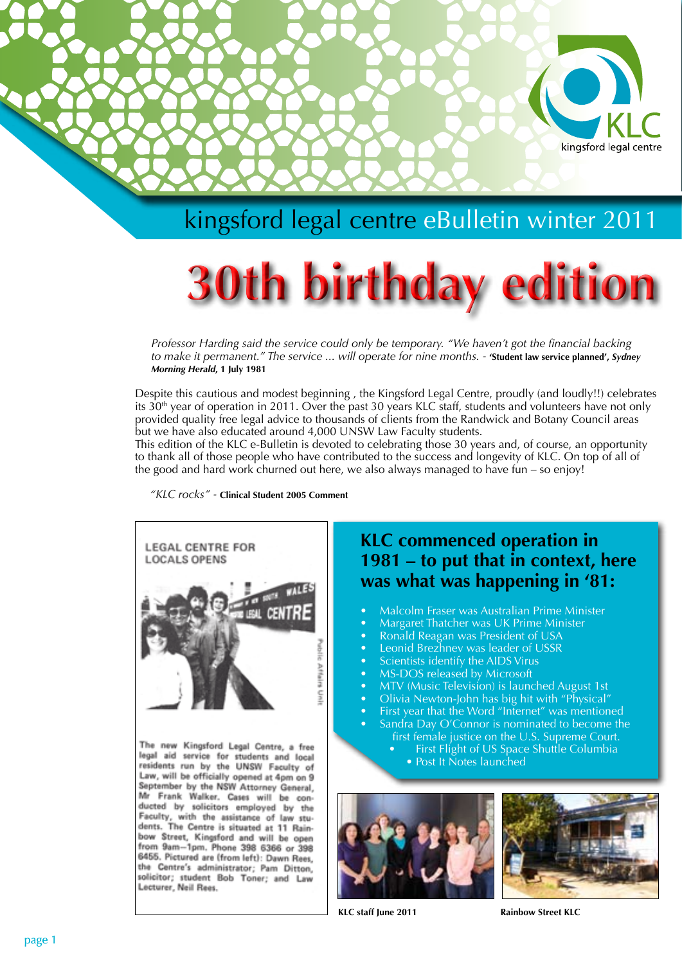

## kingsford legal centre eBulletin winter 2011

# **30th birthday edition**

*Professor Harding said the service could only be temporary. "We haven't got the financial backing to make it permanent." The service ... will operate for nine months. -* **'Student law service planned',** *Sydney Morning Herald***, 1 July 1981**

Despite this cautious and modest beginning , the Kingsford Legal Centre, proudly (and loudly!!) celebrates its 30<sup>th</sup> year of operation in 2011. Over the past 30 years KLC staff, students and volunteers have not only provided quality free legal advice to thousands of clients from the Randwick and Botany Council areas but we have also educated around 4,000 UNSW Law Faculty students.

This edition of the KLC e-Bulletin is devoted to celebrating those 30 years and, of course, an opportunity to thank all of those people who have contributed to the success and longevity of KLC. On top of all of the good and hard work churned out here, we also always managed to have fun – so enjoy!

*"KLC rocks" -* **Clinical Student 2005 Comment**



The new Kingsford Legal Centre, a free legal aid service for students and local residents run by the UNSW Faculty of Law, will be officially opened at 4pm on 9 September by the NSW Attorney General, Mr Frank Walker, Cases will be conducted by solicitors employed by the Faculty, with the assistance of law students. The Centre is situated at 11 Rainbow Street, Kingsford and will be open from 9am-1pm. Phone 398 6366 or 398 6455. Pictured are (from left): Dawn Rees, the Centre's administrator; Pam Ditton, solicitor; student Bob Toner; and Law Lecturer, Neil Rees.

### **KLC commenced operation in 1981 – to put that in context, here was what was happening in '81:**

- Malcolm Fraser was Australian Prime Minister
- **Margaret Thatcher was UK Prime Minister**
- Ronald Reagan was President of USA
- Leonid Brezhnev was leader of USSR
- Scientists identify the AIDS Virus
- MS-DOS released by Microsoft
- MTV (Music Television) is launched August 1st
- Olivia Newton-John has big hit with "Physical"
- First year that the Word "Internet" was mentioned
	- Sandra Day O'Connor is nominated to become the first female justice on the U.S. Supreme Court.
		- First Flight of US Space Shuttle Columbia
		- Post It Notes launched





**KLC staff June 2011 Rainbow Street KLC**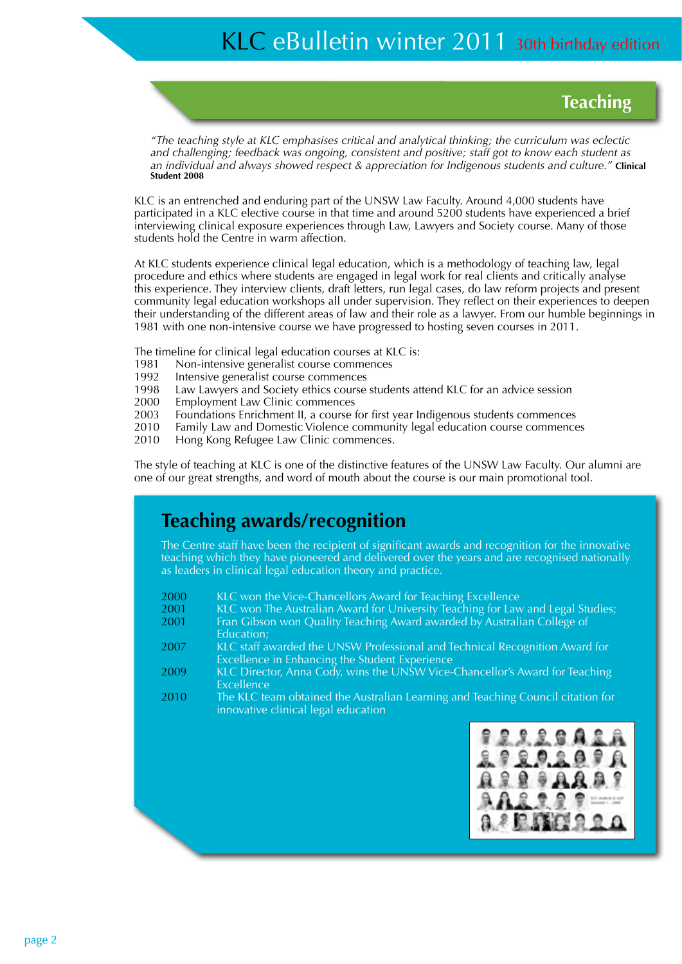**Teaching**

*"The teaching style at KLC emphasises critical and analytical thinking; the curriculum was eclectic and challenging; feedback was ongoing, consistent and positive; staff got to know each student as an individual and always showed respect & appreciation for Indigenous students and culture."* **Clinical Student 2008**

KLC is an entrenched and enduring part of the UNSW Law Faculty. Around 4,000 students have participated in a KLC elective course in that time and around 5200 students have experienced a brief interviewing clinical exposure experiences through Law, Lawyers and Society course. Many of those students hold the Centre in warm affection.

At KLC students experience clinical legal education, which is a methodology of teaching law, legal procedure and ethics where students are engaged in legal work for real clients and critically analyse this experience. They interview clients, draft letters, run legal cases, do law reform projects and present community legal education workshops all under supervision. They reflect on their experiences to deepen their understanding of the different areas of law and their role as a lawyer. From our humble beginnings in 1981 with one non-intensive course we have progressed to hosting seven courses in 2011.

The timeline for clinical legal education courses at KLC is:

- 1981 Non-intensive generalist course commences<br>1992 Intensive generalist course commences
- Intensive generalist course commences
- 1998 Law Lawyers and Society ethics course students attend KLC for an advice session
- 2000 Employment Law Clinic commences
- 2003 Foundations Enrichment II, a course for first year Indigenous students commences
- 2010 Family Law and Domestic Violence community legal education course commences
- 2010 Hong Kong Refugee Law Clinic commences.

The style of teaching at KLC is one of the distinctive features of the UNSW Law Faculty. Our alumni are one of our great strengths, and word of mouth about the course is our main promotional tool.

### **Teaching awards/recognition**

The Centre staff have been the recipient of significant awards and recognition for the innovative teaching which they have pioneered and delivered over the years and are recognised nationally as leaders in clinical legal education theory and practice.

- 2000 KLC won the Vice-Chancellors Award for Teaching Excellence<br>2001 KLC won The Australian Award for University Teaching for Law
- 2001 KLC won The Australian Award for University Teaching for Law and Legal Studies;<br>2001 Fran Gibson won Ouality Teaching Award awarded by Australian College of
- Fran Gibson won Quality Teaching Award awarded by Australian College of Education;
- 2007 KLC staff awarded the UNSW Professional and Technical Recognition Award for Excellence in Enhancing the Student Experience
- 2009 KLC Director, Anna Cody, wins the UNSW Vice-Chancellor's Award for Teaching Excellence
- 2010 The KLC team obtained the Australian Learning and Teaching Council citation for innovative clinical legal education

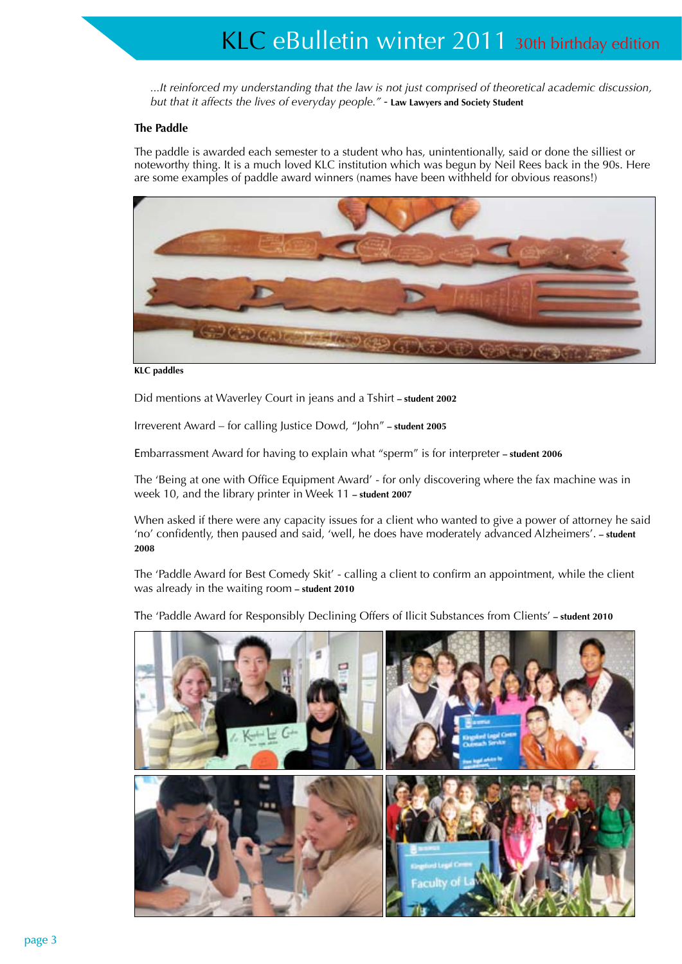*...It reinforced my understanding that the law is not just comprised of theoretical academic discussion, but that it affects the lives of everyday people." -* **Law Lawyers and Society Student**

#### **The Paddle**

The paddle is awarded each semester to a student who has, unintentionally, said or done the silliest or noteworthy thing. It is a much loved KLC institution which was begun by Neil Rees back in the 90s. Here are some examples of paddle award winners (names have been withheld for obvious reasons!)



**KLC paddles**

Did mentions at Waverley Court in jeans and a Tshirt **– student 2002**

Irreverent Award – for calling Justice Dowd, "John" **– student 2005**

Embarrassment Award for having to explain what "sperm" is for interpreter **– student 2006**

The 'Being at one with Office Equipment Award' - for only discovering where the fax machine was in week 10, and the library printer in Week 11 **– student 2007**

When asked if there were any capacity issues for a client who wanted to give a power of attorney he said 'no' confidently, then paused and said, 'well, he does have moderately advanced Alzheimers'. **– student 2008**

The 'Paddle Award for Best Comedy Skit' - calling a client to confirm an appointment, while the client was already in the waiting room **– student 2010**

The 'Paddle Award for Responsibly Declining Offers of Ilicit Substances from Clients' **– student 2010**

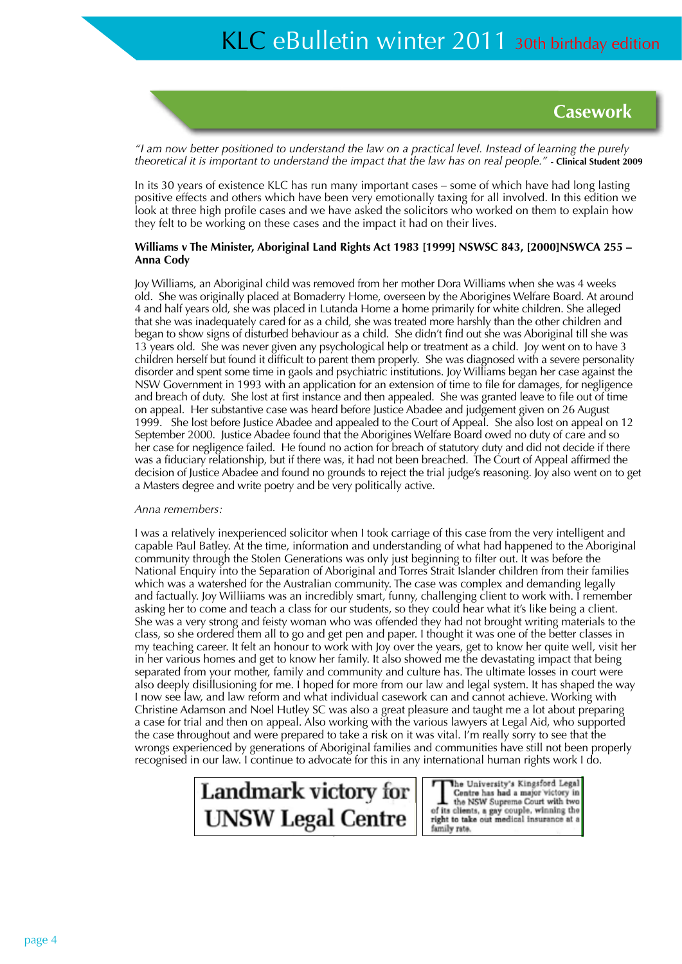

*"I am now better positioned to understand the law on a practical level. Instead of learning the purely theoretical it is important to understand the impact that the law has on real people."* **- Clinical Student 2009**

In its 30 years of existence KLC has run many important cases – some of which have had long lasting positive effects and others which have been very emotionally taxing for all involved. In this edition we look at three high profile cases and we have asked the solicitors who worked on them to explain how they felt to be working on these cases and the impact it had on their lives.

#### Williams v The Minister, Aboriginal Land Rights Act 1983 [1999] NSWSC 843, [2000]NSWCA 255 -**Anna Cody**

Joy Williams, an Aboriginal child was removed from her mother Dora Williams when she was 4 weeks old. She was originally placed at Bomaderry Home, overseen by the Aborigines Welfare Board. At around 4 and half years old, she was placed in Lutanda Home a home primarily for white children. She alleged that she was inadequately cared for as a child, she was treated more harshly than the other children and began to show signs of disturbed behaviour as a child. She didn't find out she was Aboriginal till she was 13 years old. She was never given any psychological help or treatment as a child. Joy went on to have 3 children herself but found it difficult to parent them properly. She was diagnosed with a severe personality disorder and spent some time in gaols and psychiatric institutions. Joy Williams began her case against the NSW Government in 1993 with an application for an extension of time to file for damages, for negligence and breach of duty. She lost at first instance and then appealed. She was granted leave to file out of time on appeal. Her substantive case was heard before Justice Abadee and judgement given on 26 August 1999. She lost before Justice Abadee and appealed to the Court of Appeal. She also lost on appeal on 12 September 2000. Justice Abadee found that the Aborigines Welfare Board owed no duty of care and so her case for negligence failed. He found no action for breach of statutory duty and did not decide if there was a fiduciary relationship, but if there was, it had not been breached. The Court of Appeal affirmed the decision of Justice Abadee and found no grounds to reject the trial judge's reasoning. Joy also went on to get a Masters degree and write poetry and be very politically active.

#### *Anna remembers:*

I was a relatively inexperienced solicitor when I took carriage of this case from the very intelligent and capable Paul Batley. At the time, information and understanding of what had happened to the Aboriginal community through the Stolen Generations was only just beginning to filter out. It was before the National Enquiry into the Separation of Aboriginal and Torres Strait Islander children from their families which was a watershed for the Australian community. The case was complex and demanding legally and factually. Joy Williiams was an incredibly smart, funny, challenging client to work with. I remember asking her to come and teach a class for our students, so they could hear what it's like being a client. She was a very strong and feisty woman who was offended they had not brought writing materials to the class, so she ordered them all to go and get pen and paper. I thought it was one of the better classes in my teaching career. It felt an honour to work with Joy over the years, get to know her quite well, visit her in her various homes and get to know her family. It also showed me the devastating impact that being separated from your mother, family and community and culture has. The ultimate losses in court were also deeply disillusioning for me. I hoped for more from our law and legal system. It has shaped the way I now see law, and law reform and what individual casework can and cannot achieve. Working with Christine Adamson and Noel Hutley SC was also a great pleasure and taught me a lot about preparing a case for trial and then on appeal. Also working with the various lawyers at Legal Aid, who supported the case throughout and were prepared to take a risk on it was vital. I'm really sorry to see that the wrongs experienced by generations of Aboriginal families and communities have still not been properly recognised in our law. I continue to advocate for this in any international human rights work I do.



The University's Kingsford Legal family rate.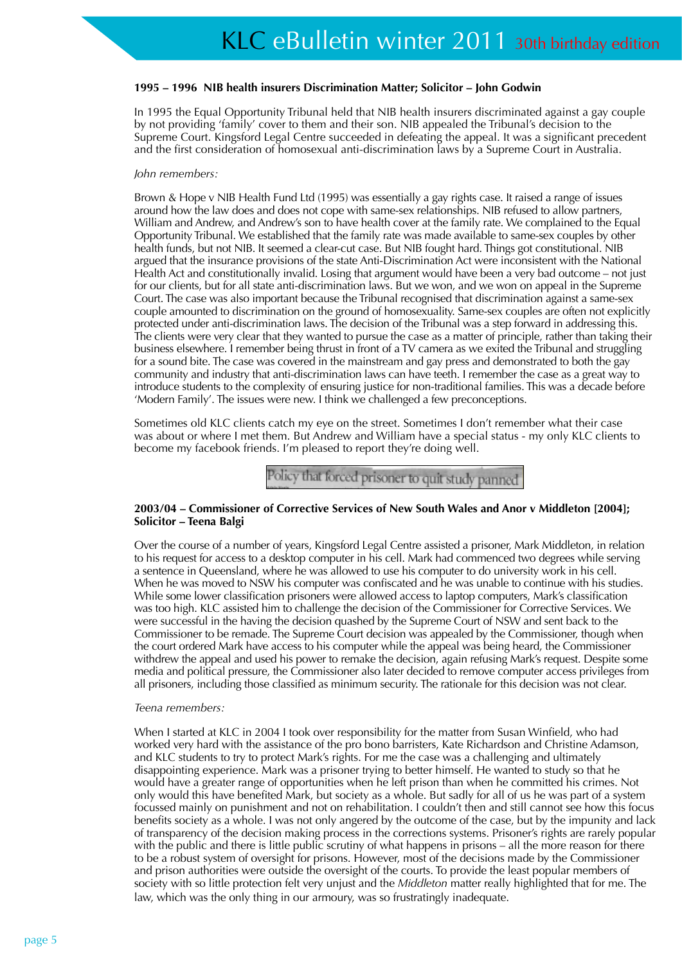#### **1995 – 1996 NIB health insurers Discrimination Matter; Solicitor – John Godwin**

In 1995 the Equal Opportunity Tribunal held that NIB health insurers discriminated against a gay couple by not providing 'family' cover to them and their son. NIB appealed the Tribunal's decision to the Supreme Court. Kingsford Legal Centre succeeded in defeating the appeal. It was a significant precedent and the first consideration of homosexual anti-discrimination laws by a Supreme Court in Australia.

#### *John remembers:*

Brown & Hope v NIB Health Fund Ltd (1995) was essentially a gay rights case. It raised a range of issues around how the law does and does not cope with same-sex relationships. NIB refused to allow partners, William and Andrew, and Andrew's son to have health cover at the family rate. We complained to the Equal Opportunity Tribunal. We established that the family rate was made available to same-sex couples by other health funds, but not NIB. It seemed a clear-cut case. But NIB fought hard. Things got constitutional. NIB argued that the insurance provisions of the state Anti-Discrimination Act were inconsistent with the National Health Act and constitutionally invalid. Losing that argument would have been a very bad outcome – not just for our clients, but for all state anti-discrimination laws. But we won, and we won on appeal in the Supreme Court. The case was also important because the Tribunal recognised that discrimination against a same-sex couple amounted to discrimination on the ground of homosexuality. Same-sex couples are often not explicitly protected under anti-discrimination laws. The decision of the Tribunal was a step forward in addressing this. The clients were very clear that they wanted to pursue the case as a matter of principle, rather than taking their business elsewhere. I remember being thrust in front of a TV camera as we exited the Tribunal and struggling for a sound bite. The case was covered in the mainstream and gay press and demonstrated to both the gay community and industry that anti-discrimination laws can have teeth. I remember the case as a great way to introduce students to the complexity of ensuring justice for non-traditional families. This was a decade before 'Modern Family'. The issues were new. I think we challenged a few preconceptions.

Sometimes old KLC clients catch my eye on the street. Sometimes I don't remember what their case was about or where I met them. But Andrew and William have a special status - my only KLC clients to become my facebook friends. I'm pleased to report they're doing well.

Policy that forced prisoner to quit study panned

#### **2003/04 – Commissioner of Corrective Services of New South Wales and Anor v Middleton [2004]; Solicitor – Teena Balgi**

Over the course of a number of years, Kingsford Legal Centre assisted a prisoner, Mark Middleton, in relation to his request for access to a desktop computer in his cell. Mark had commenced two degrees while serving a sentence in Queensland, where he was allowed to use his computer to do university work in his cell. When he was moved to NSW his computer was confiscated and he was unable to continue with his studies. While some lower classification prisoners were allowed access to laptop computers, Mark's classification was too high. KLC assisted him to challenge the decision of the Commissioner for Corrective Services. We were successful in the having the decision quashed by the Supreme Court of NSW and sent back to the Commissioner to be remade. The Supreme Court decision was appealed by the Commissioner, though when the court ordered Mark have access to his computer while the appeal was being heard, the Commissioner withdrew the appeal and used his power to remake the decision, again refusing Mark's request. Despite some media and political pressure, the Commissioner also later decided to remove computer access privileges from all prisoners, including those classified as minimum security. The rationale for this decision was not clear.

#### *Teena remembers:*

When I started at KLC in 2004 I took over responsibility for the matter from Susan Winfield, who had worked very hard with the assistance of the pro bono barristers, Kate Richardson and Christine Adamson, and KLC students to try to protect Mark's rights. For me the case was a challenging and ultimately disappointing experience. Mark was a prisoner trying to better himself. He wanted to study so that he would have a greater range of opportunities when he left prison than when he committed his crimes. Not only would this have benefited Mark, but society as a whole. But sadly for all of us he was part of a system focussed mainly on punishment and not on rehabilitation. I couldn't then and still cannot see how this focus benefits society as a whole. I was not only angered by the outcome of the case, but by the impunity and lack of transparency of the decision making process in the corrections systems. Prisoner's rights are rarely popular with the public and there is little public scrutiny of what happens in prisons – all the more reason for there to be a robust system of oversight for prisons. However, most of the decisions made by the Commissioner and prison authorities were outside the oversight of the courts. To provide the least popular members of society with so little protection felt very unjust and the *Middleton* matter really highlighted that for me. The law, which was the only thing in our armoury, was so frustratingly inadequate.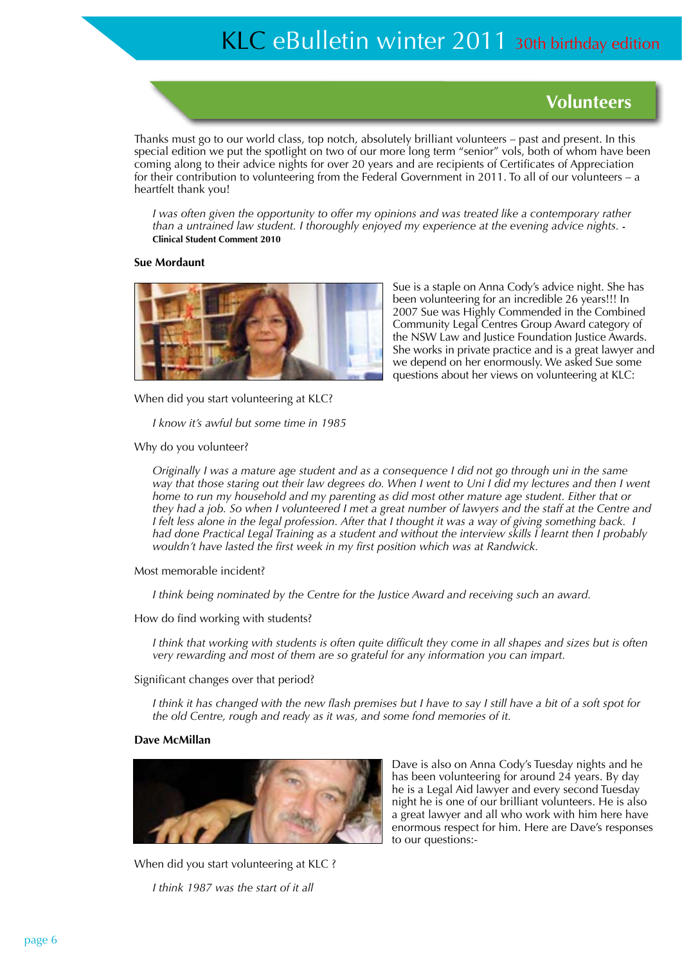### **Volunteers**

Thanks must go to our world class, top notch, absolutely brilliant volunteers – past and present. In this special edition we put the spotlight on two of our more long term "senior" vols, both of whom have been coming along to their advice nights for over 20 years and are recipients of Certificates of Appreciation for their contribution to volunteering from the Federal Government in 2011. To all of our volunteers – a heartfelt thank you!

*I* was often given the opportunity to offer my opinions and was treated like a contemporary rather *than a untrained law student. I thoroughly enjoyed my experience at the evening advice nights.* **- Clinical Student Comment 2010**

#### **Sue Mordaunt**



Sue is a staple on Anna Cody's advice night. She has been volunteering for an incredible 26 years!!! In 2007 Sue was Highly Commended in the Combined Community Legal Centres Group Award category of the NSW Law and Justice Foundation Justice Awards. She works in private practice and is a great lawyer and we depend on her enormously. We asked Sue some questions about her views on volunteering at KLC:

When did you start volunteering at KLC?

*I know it's awful but some time in 1985*

Why do you volunteer?

*Originally I was a mature age student and as a consequence I did not go through uni in the same way that those staring out their law degrees do. When I went to Uni I did my lectures and then I went home to run my household and my parenting as did most other mature age student. Either that or they had a job. So when I volunteered I met a great number of lawyers and the staff at the Centre and I felt less alone in the legal profession. After that I thought it was a way of giving something back. I had done Practical Legal Training as a student and without the interview skills I learnt then I probably wouldn't have lasted the first week in my first position which was at Randwick.*

Most memorable incident?

*I think being nominated by the Centre for the Justice Award and receiving such an award.*

How do find working with students?

*I think that working with students is often quite difficult they come in all shapes and sizes but is often very rewarding and most of them are so grateful for any information you can impart.*

Significant changes over that period?

*I think it has changed with the new flash premises but I have to say I still have a bit of a soft spot for the old Centre, rough and ready as it was, and some fond memories of it.*

#### **Dave McMillan**



Dave is also on Anna Cody's Tuesday nights and he has been volunteering for around 24 years. By day he is a Legal Aid lawyer and every second Tuesday night he is one of our brilliant volunteers. He is also a great lawyer and all who work with him here have enormous respect for him. Here are Dave's responses to our questions:-

When did you start volunteering at KLC ? *I think 1987 was the start of it all*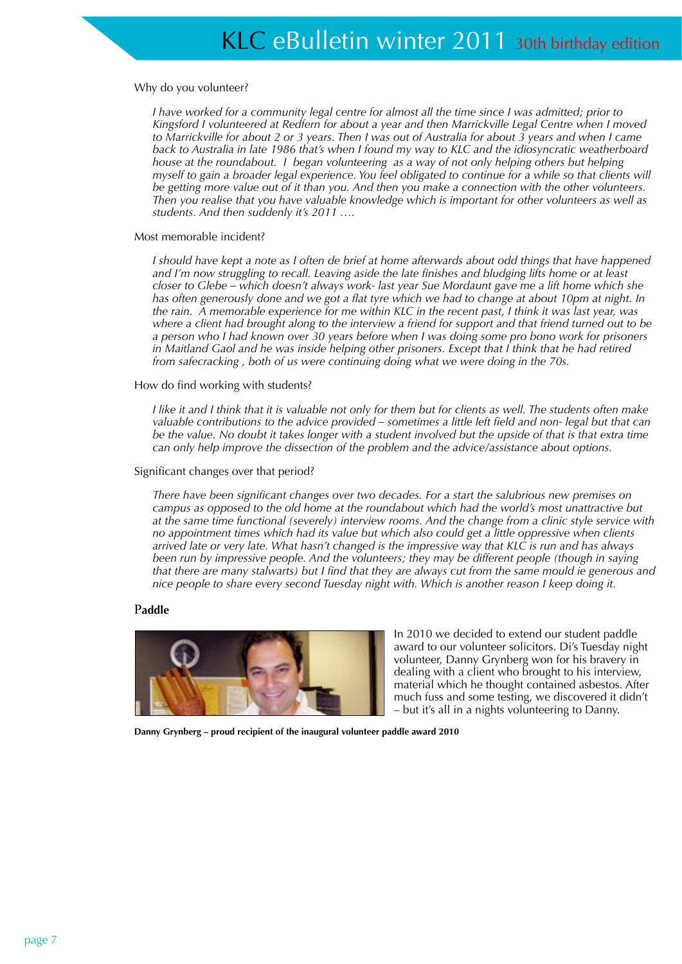#### Why do you volunteer?

*I* have worked for a community legal centre for almost all the time since I was admitted; prior to *Kingsford I volunteered at Redfern for about a year and then Marrickville Legal Centre when I moved to Marrickville for about 2 or 3 years. Then I was out of Australia for about 3 years and when I came back to Australia in late 1986 that's when I found my way to KLC and the idiosyncratic weatherboard house at the roundabout. I began volunteering as a way of not only helping others but helping myself to gain a broader legal experience. You feel obligated to continue for a while so that clients will be getting more value out of it than you. And then you make a connection with the other volunteers. Then you realise that you have valuable knowledge which is important for other volunteers as well as students. And then suddenly it's 2011 ….* 

#### Most memorable incident?

*I should have kept a note as I often de brief at home afterwards about odd things that have happened and I'm now struggling to recall. Leaving aside the late finishes and bludging lifts home or at least closer to Glebe – which doesn't always work- last year Sue Mordaunt gave me a lift home which she has often generously done and we got a flat tyre which we had to change at about 10pm at night. In the rain. A memorable experience for me within KLC in the recent past, I think it was last year, was where a client had brought along to the interview a friend for support and that friend turned out to be a person who I had known over 30 years before when I was doing some pro bono work for prisoners in Maitland Gaol and he was inside helping other prisoners. Except that I think that he had retired from safecracking , both of us were continuing doing what we were doing in the 70s.* 

How do find working with students?

*I like it and I think that it is valuable not only for them but for clients as well. The students often make valuable contributions to the advice provided – sometimes a little left field and non- legal but that can be the value. No doubt it takes longer with a student involved but the upside of that is that extra time can only help improve the dissection of the problem and the advice/assistance about options.* 

#### Significant changes over that period?

*There have been significant changes over two decades. For a start the salubrious new premises on campus as opposed to the old home at the roundabout which had the world's most unattractive but at the same time functional (severely) interview rooms. And the change from a clinic style service with no appointment times which had its value but which also could get a little oppressive when clients arrived late or very late. What hasn't changed is the impressive way that KLC is run and has always been run by impressive people. And the volunteers; they may be different people (though in saying that there are many stalwarts) but I find that they are always cut from the same mould ie generous and nice people to share every second Tuesday night with. Which is another reason I keep doing it.* 

#### P**addle**



In 2010 we decided to extend our student paddle award to our volunteer solicitors. Di's Tuesday night volunteer, Danny Grynberg won for his bravery in dealing with a client who brought to his interview, material which he thought contained asbestos. After much fuss and some testing, we discovered it didn't – but it's all in a nights volunteering to Danny.

**Danny Grynberg – proud recipient of the inaugural volunteer paddle award 2010**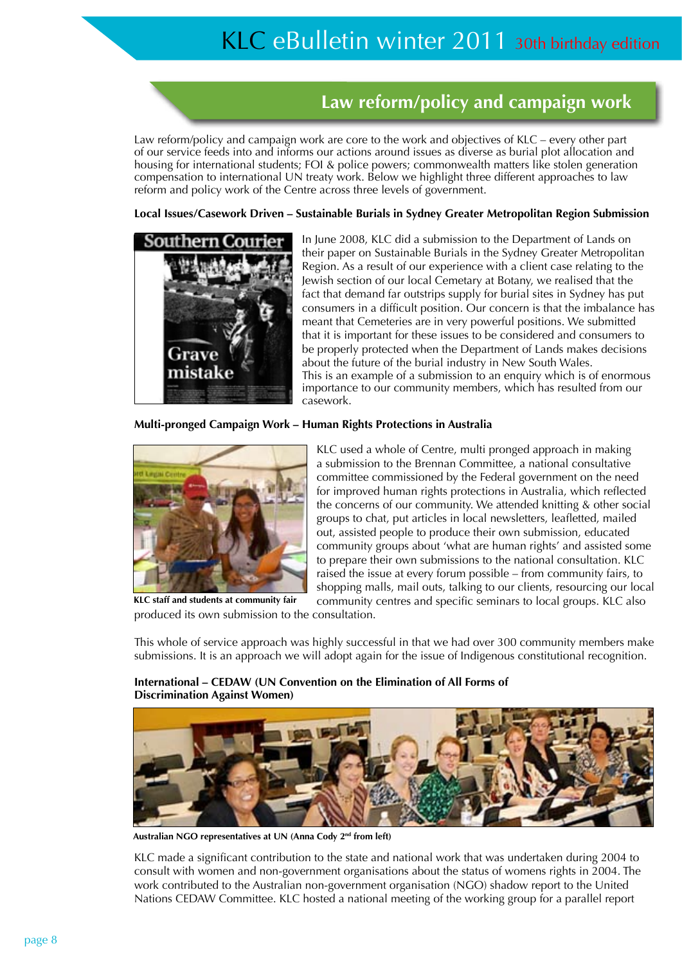## **Law reform/policy and campaign work**

Law reform/policy and campaign work are core to the work and objectives of KLC – every other part of our service feeds into and informs our actions around issues as diverse as burial plot allocation and housing for international students; FOI & police powers; commonwealth matters like stolen generation compensation to international UN treaty work. Below we highlight three different approaches to law reform and policy work of the Centre across three levels of government.

#### **Local Issues/Casework Driven – Sustainable Burials in Sydney Greater Metropolitan Region Submission**



In June 2008, KLC did a submission to the Department of Lands on their paper on Sustainable Burials in the Sydney Greater Metropolitan Region. As a result of our experience with a client case relating to the Jewish section of our local Cemetary at Botany, we realised that the fact that demand far outstrips supply for burial sites in Sydney has put consumers in a difficult position. Our concern is that the imbalance has meant that Cemeteries are in very powerful positions. We submitted that it is important for these issues to be considered and consumers to be properly protected when the Department of Lands makes decisions about the future of the burial industry in New South Wales. This is an example of a submission to an enquiry which is of enormous importance to our community members, which has resulted from our casework.

#### **Multi-pronged Campaign Work – Human Rights Protections in Australia**



**KLC staff and students at community fair**

KLC used a whole of Centre, multi pronged approach in making a submission to the Brennan Committee, a national consultative committee commissioned by the Federal government on the need for improved human rights protections in Australia, which reflected the concerns of our community. We attended knitting & other social groups to chat, put articles in local newsletters, leafletted, mailed out, assisted people to produce their own submission, educated community groups about 'what are human rights' and assisted some to prepare their own submissions to the national consultation. KLC raised the issue at every forum possible – from community fairs, to shopping malls, mail outs, talking to our clients, resourcing our local community centres and specific seminars to local groups. KLC also

produced its own submission to the consultation.

This whole of service approach was highly successful in that we had over 300 community members make submissions. It is an approach we will adopt again for the issue of Indigenous constitutional recognition.

**International – CEDAW (UN Convention on the Elimination of All Forms of Discrimination Against Women)**

**Australian NGO representatives at UN (Anna Cody 2nd from left)**

KLC made a significant contribution to the state and national work that was undertaken during 2004 to consult with women and non-government organisations about the status of womens rights in 2004. The work contributed to the Australian non-government organisation (NGO) shadow report to the United Nations CEDAW Committee. KLC hosted a national meeting of the working group for a parallel report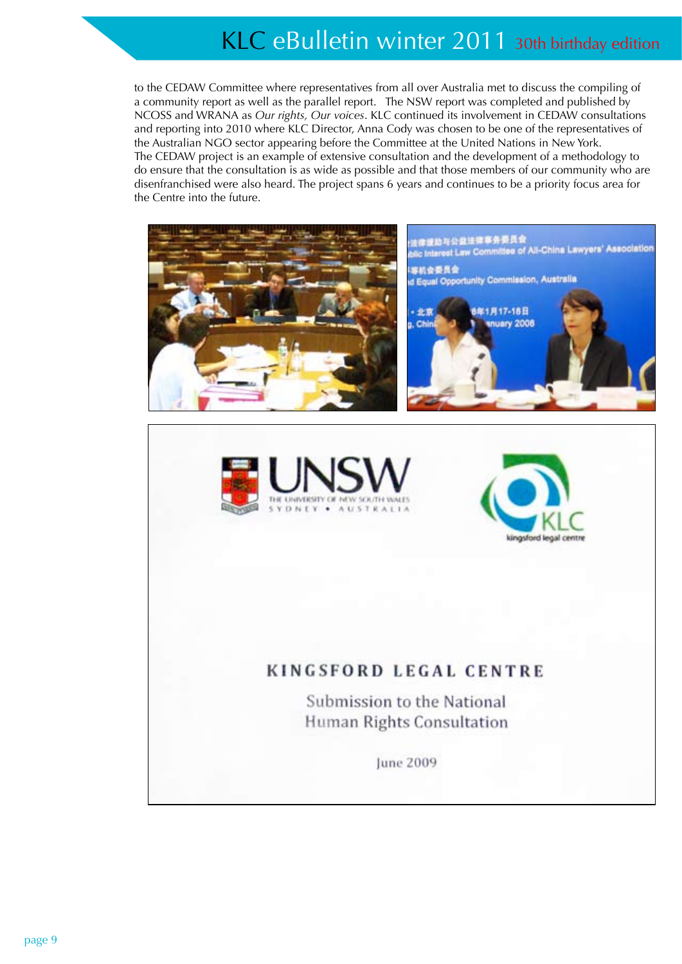to the CEDAW Committee where representatives from all over Australia met to discuss the compiling of a community report as well as the parallel report. The NSW report was completed and published by NCOSS and WRANA as *Our rights, Our voices*. KLC continued its involvement in CEDAW consultations and reporting into 2010 where KLC Director, Anna Cody was chosen to be one of the representatives of the Australian NGO sector appearing before the Committee at the United Nations in New York. The CEDAW project is an example of extensive consultation and the development of a methodology to do ensure that the consultation is as wide as possible and that those members of our community who are disenfranchised were also heard. The project spans 6 years and continues to be a priority focus area for the Centre into the future.

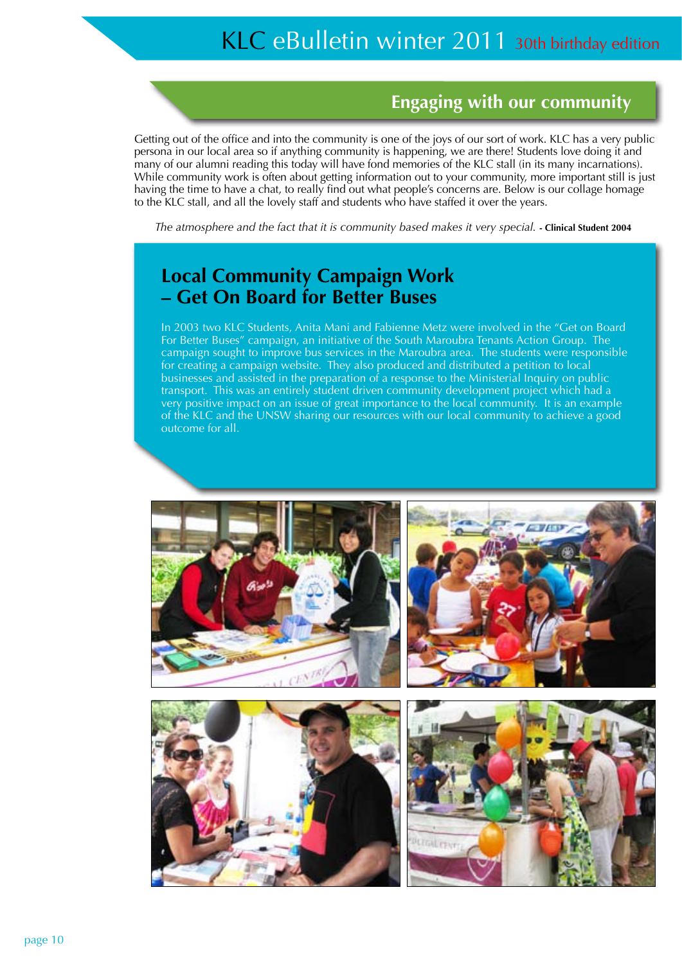### **Engaging with our community**

Getting out of the office and into the community is one of the joys of our sort of work. KLC has a very public persona in our local area so if anything community is happening, we are there! Students love doing it and many of our alumni reading this today will have fond memories of the KLC stall (in its many incarnations). While community work is often about getting information out to your community, more important still is just having the time to have a chat, to really find out what people's concerns are. Below is our collage homage to the KLC stall, and all the lovely staff and students who have staffed it over the years.

*The atmosphere and the fact that it is community based makes it very special.* **- Clinical Student 2004**

### **Local Community Campaign Work – Get On Board for Better Buses**

In 2003 two KLC Students, Anita Mani and Fabienne Metz were involved in the "Get on Board For Better Buses" campaign, an initiative of the South Maroubra Tenants Action Group. The campaign sought to improve bus services in the Maroubra area. The students were responsible for creating a campaign website. They also produced and distributed a petition to local businesses and assisted in the preparation of a response to the Ministerial Inquiry on public transport. This was an entirely student driven community development project which had a very positive impact on an issue of great importance to the local community. It is an example of the KLC and the UNSW sharing our resources with our local community to achieve a good outcome for all.

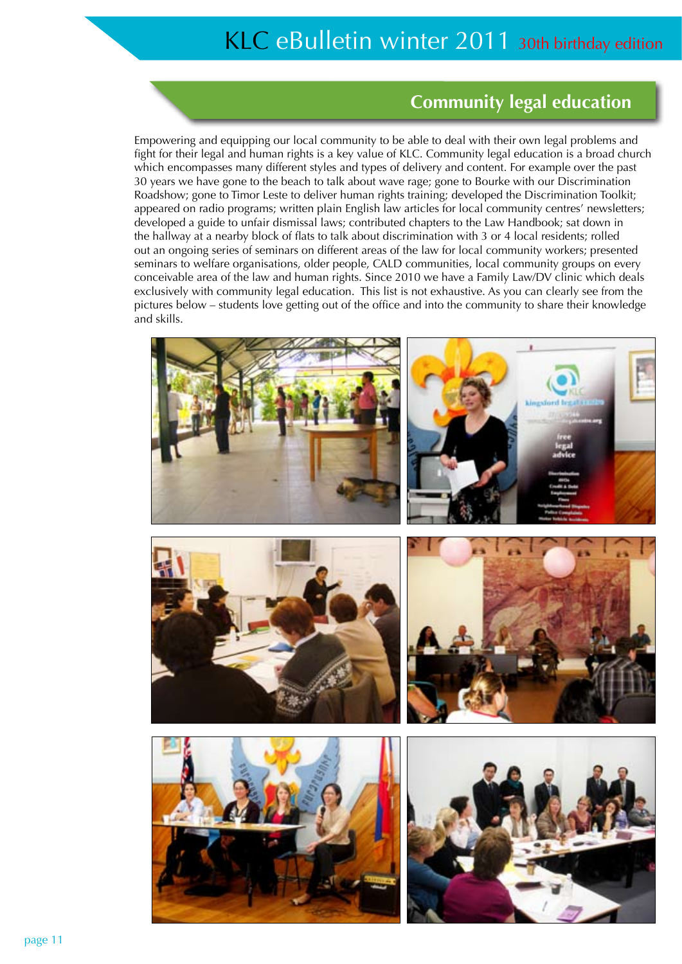### **Community legal education**

Empowering and equipping our local community to be able to deal with their own legal problems and fight for their legal and human rights is a key value of KLC. Community legal education is a broad church which encompasses many different styles and types of delivery and content. For example over the past 30 years we have gone to the beach to talk about wave rage; gone to Bourke with our Discrimination Roadshow; gone to Timor Leste to deliver human rights training; developed the Discrimination Toolkit; appeared on radio programs; written plain English law articles for local community centres' newsletters; developed a guide to unfair dismissal laws; contributed chapters to the Law Handbook; sat down in the hallway at a nearby block of flats to talk about discrimination with 3 or 4 local residents; rolled out an ongoing series of seminars on different areas of the law for local community workers; presented seminars to welfare organisations, older people, CALD communities, local community groups on every conceivable area of the law and human rights. Since 2010 we have a Family Law/DV clinic which deals exclusively with community legal education. This list is not exhaustive. As you can clearly see from the pictures below – students love getting out of the office and into the community to share their knowledge and skills.



Ш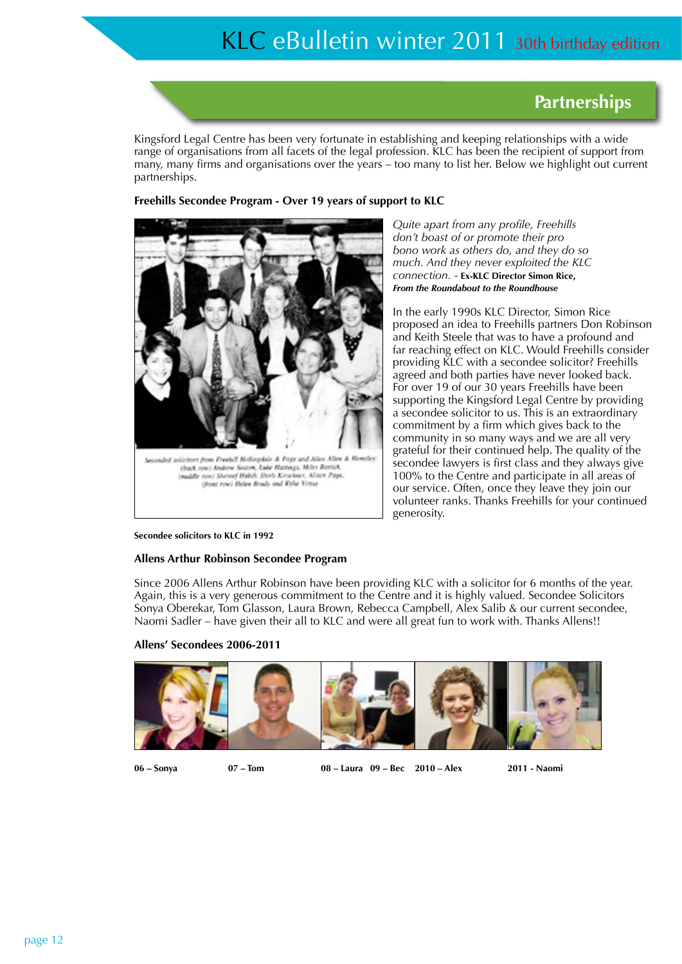### **Partnerships**

Kingsford Legal Centre has been very fortunate in establishing and keeping relationships with a wide range of organisations from all facets of the legal profession. KLC has been the recipient of support from many, many firms and organisations over the years – too many to list her. Below we highlight out current partnerships.

#### **Freehills Secondee Program - Over 19 years of support to KLC**



*Quite apart from any profile, Freehills don't boast of or promote their pro bono work as others do, and they do so much. And they never exploited the KLC connection.* - **Ex-KLC Director Simon Rice,**  *From the Roundabout to the Roundhouse*

In the early 1990s KLC Director, Simon Rice proposed an idea to Freehills partners Don Robinson and Keith Steele that was to have a profound and far reaching effect on KLC. Would Freehills consider providing KLC with a secondee solicitor? Freehills agreed and both parties have never looked back. For over 19 of our 30 years Freehills have been supporting the Kingsford Legal Centre by providing a secondee solicitor to us. This is an extraordinary commitment by a firm which gives back to the community in so many ways and we are all very grateful for their continued help. The quality of the secondee lawyers is first class and they always give 100% to the Centre and participate in all areas of our service. Often, once they leave they join our volunteer ranks. Thanks Freehills for your continued generosity.

#### **Secondee solicitors to KLC in 1992**

#### **Allens Arthur Robinson Secondee Program**

Since 2006 Allens Arthur Robinson have been providing KLC with a solicitor for 6 months of the year. Again, this is a very generous commitment to the Centre and it is highly valued. Secondee Solicitors Sonya Oberekar, Tom Glasson, Laura Brown, Rebecca Campbell, Alex Salib & our current secondee, Naomi Sadler – have given their all to KLC and were all great fun to work with. Thanks Allens!!

#### **Allens' Secondees 2006-2011**



**06 – Sonya 07 – Tom 08 – Laura 09 – Bec 2010 – Alex 2011 - Naomi**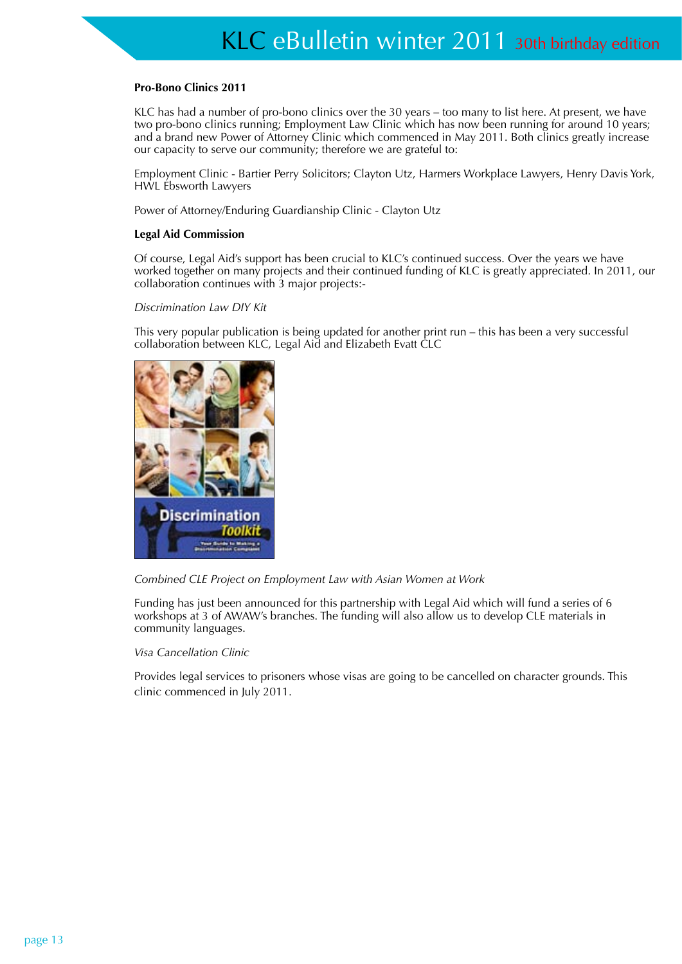#### **Pro-Bono Clinics 2011**

KLC has had a number of pro-bono clinics over the 30 years – too many to list here. At present, we have two pro-bono clinics running; Employment Law Clinic which has now been running for around 10 years; and a brand new Power of Attorney Clinic which commenced in May 2011. Both clinics greatly increase our capacity to serve our community; therefore we are grateful to:

Employment Clinic - Bartier Perry Solicitors; Clayton Utz, Harmers Workplace Lawyers, Henry Davis York, HWL Ebsworth Lawyers

Power of Attorney/Enduring Guardianship Clinic - Clayton Utz

#### **Legal Aid Commission**

Of course, Legal Aid's support has been crucial to KLC's continued success. Over the years we have worked together on many projects and their continued funding of KLC is greatly appreciated. In 2011, our collaboration continues with 3 major projects:-

#### *Discrimination Law DIY Kit*

This very popular publication is being updated for another print run – this has been a very successful collaboration between KLC, Legal Aid and Elizabeth Evatt CLC





Funding has just been announced for this partnership with Legal Aid which will fund a series of 6 workshops at 3 of AWAW's branches. The funding will also allow us to develop CLE materials in community languages.

*Visa Cancellation Clinic* 

Provides legal services to prisoners whose visas are going to be cancelled on character grounds. This clinic commenced in July 2011.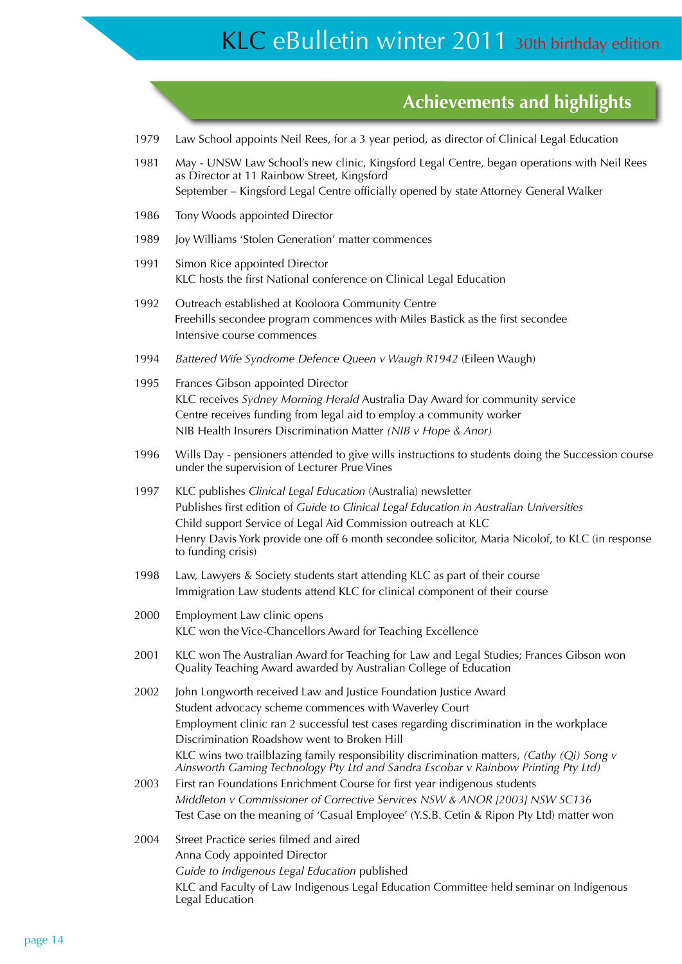### **Achievements and highlights**

- 1979 Law School appoints Neil Rees, for a 3 year period, as director of Clinical Legal Education
- 1981 May UNSW Law School's new clinic, Kingsford Legal Centre, began operations with Neil Rees as Director at 11 Rainbow Street, Kingsford September – Kingsford Legal Centre officially opened by state Attorney General Walker
- 1986 Tony Woods appointed Director
- 1989 Joy Williams 'Stolen Generation' matter commences
- 1991 Simon Rice appointed Director KLC hosts the first National conference on Clinical Legal Education
- 1992 Outreach established at Kooloora Community Centre Freehills secondee program commences with Miles Bastick as the first secondee Intensive course commences
- 1994 *Battered Wife Syndrome Defence Queen v Waugh R1942* (Eileen Waugh)
- 1995 Frances Gibson appointed Director KLC receives *Sydney Morning Herald* Australia Day Award for community service Centre receives funding from legal aid to employ a community worker NIB Health Insurers Discrimination Matter *(NIB v Hope & Anor)*
- 1996 Wills Day pensioners attended to give wills instructions to students doing the Succession course under the supervision of Lecturer Prue Vines
- 1997 KLC publishes *Clinical Legal Education* (Australia) newsletter Publishes first edition of *Guide to Clinical Legal Education in Australian Universities* Child support Service of Legal Aid Commission outreach at KLC Henry Davis York provide one off 6 month secondee solicitor, Maria Nicolof, to KLC (in response to funding crisis)
- 1998 Law, Lawyers & Society students start attending KLC as part of their course Immigration Law students attend KLC for clinical component of their course
- 2000 Employment Law clinic opens KLC won the Vice-Chancellors Award for Teaching Excellence
- 2001 KLC won The Australian Award for Teaching for Law and Legal Studies; Frances Gibson won Quality Teaching Award awarded by Australian College of Education
- 2002 John Longworth received Law and Justice Foundation Justice Award Student advocacy scheme commences with Waverley Court Employment clinic ran 2 successful test cases regarding discrimination in the workplace Discrimination Roadshow went to Broken Hill KLC wins two trailblazing family responsibility discrimination matters, *(Cathy (Qi) Song v Ainsworth Gaming Technology Pty Ltd and Sandra Escobar v Rainbow Printing Pty Ltd)*
- 2003 First ran Foundations Enrichment Course for first year indigenous students *Middleton v Commissioner of Corrective Services NSW & ANOR [2003] NSW SC136* Test Case on the meaning of 'Casual Employee' (Y.S.B. Cetin & Ripon Pty Ltd) matter won
- 2004 Street Practice series filmed and aired Anna Cody appointed Director *Guide to Indigenous Legal Education* published KLC and Faculty of Law Indigenous Legal Education Committee held seminar on Indigenous Legal Education